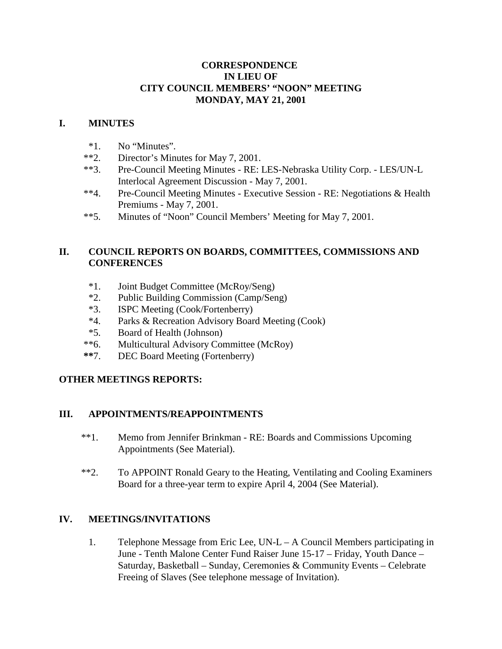### **CORRESPONDENCE IN LIEU OF CITY COUNCIL MEMBERS' "NOON" MEETING MONDAY, MAY 21, 2001**

### **I. MINUTES**

- \*1. No "Minutes".
- \*\*2. Director's Minutes for May 7, 2001.
- \*\*3. Pre-Council Meeting Minutes RE: LES-Nebraska Utility Corp. LES/UN-L Interlocal Agreement Discussion - May 7, 2001.
- \*\*4. Pre-Council Meeting Minutes Executive Session RE: Negotiations & Health Premiums - May 7, 2001.
- \*\*5. Minutes of "Noon" Council Members' Meeting for May 7, 2001.

## **II. COUNCIL REPORTS ON BOARDS, COMMITTEES, COMMISSIONS AND CONFERENCES**

- \*1. Joint Budget Committee (McRoy/Seng)
- \*2. Public Building Commission (Camp/Seng)
- \*3. ISPC Meeting (Cook/Fortenberry)
- \*4. Parks & Recreation Advisory Board Meeting (Cook)
- \*5. Board of Health (Johnson)
- \*\*6. Multicultural Advisory Committee (McRoy)
- **\*\***7. DEC Board Meeting (Fortenberry)

# **OTHER MEETINGS REPORTS:**

# **III. APPOINTMENTS/REAPPOINTMENTS**

- \*\*1. Memo from Jennifer Brinkman RE: Boards and Commissions Upcoming Appointments (See Material).
- \*\*2. To APPOINT Ronald Geary to the Heating, Ventilating and Cooling Examiners Board for a three-year term to expire April 4, 2004 (See Material).

# **IV. MEETINGS/INVITATIONS**

1. Telephone Message from Eric Lee, UN-L – A Council Members participating in June - Tenth Malone Center Fund Raiser June 15-17 – Friday, Youth Dance – Saturday, Basketball – Sunday, Ceremonies & Community Events – Celebrate Freeing of Slaves (See telephone message of Invitation).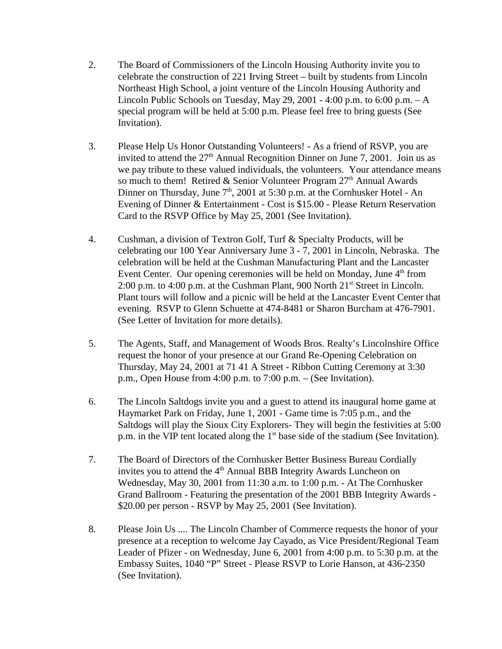- 2. The Board of Commissioners of the Lincoln Housing Authority invite you to celebrate the construction of 221 Irving Street – built by students from Lincoln Northeast High School, a joint venture of the Lincoln Housing Authority and Lincoln Public Schools on Tuesday, May 29, 2001 - 4:00 p.m. to  $6:00$  p.m.  $-A$ special program will be held at 5:00 p.m. Please feel free to bring guests (See Invitation).
- 3. Please Help Us Honor Outstanding Volunteers! As a friend of RSVP, you are invited to attend the  $27<sup>th</sup>$  Annual Recognition Dinner on June 7, 2001. Join us as we pay tribute to these valued individuals, the volunteers. Your attendance means so much to them! Retired & Senior Volunteer Program  $27<sup>th</sup>$  Annual Awards Dinner on Thursday, June  $7<sup>th</sup>$ , 2001 at 5:30 p.m. at the Cornhusker Hotel - An Evening of Dinner & Entertainment - Cost is \$15.00 - Please Return Reservation Card to the RSVP Office by May 25, 2001 (See Invitation).
- 4. Cushman, a division of Textron Golf, Turf & Specialty Products, will be celebrating our 100 Year Anniversary June 3 - 7, 2001 in Lincoln, Nebraska. The celebration will be held at the Cushman Manufacturing Plant and the Lancaster Event Center. Our opening ceremonies will be held on Monday, June  $4<sup>th</sup>$  from 2:00 p.m. to 4:00 p.m. at the Cushman Plant, 900 North  $21<sup>st</sup>$  Street in Lincoln. Plant tours will follow and a picnic will be held at the Lancaster Event Center that evening. RSVP to Glenn Schuette at 474-8481 or Sharon Burcham at 476-7901. (See Letter of Invitation for more details).
- 5. The Agents, Staff, and Management of Woods Bros. Realty's Lincolnshire Office request the honor of your presence at our Grand Re-Opening Celebration on Thursday, May 24, 2001 at 71 41 A Street - Ribbon Cutting Ceremony at 3:30 p.m., Open House from 4:00 p.m. to 7:00 p.m. – (See Invitation).
- 6. The Lincoln Saltdogs invite you and a guest to attend its inaugural home game at Haymarket Park on Friday, June 1, 2001 - Game time is 7:05 p.m., and the Saltdogs will play the Sioux City Explorers- They will begin the festivities at 5:00 p.m. in the VIP tent located along the  $1<sup>st</sup>$  base side of the stadium (See Invitation).
- 7. The Board of Directors of the Cornhusker Better Business Bureau Cordially invites you to attend the 4<sup>th</sup> Annual BBB Integrity Awards Luncheon on Wednesday, May 30, 2001 from 11:30 a.m. to 1:00 p.m. - At The Cornhusker Grand Ballroom - Featuring the presentation of the 2001 BBB Integrity Awards - \$20.00 per person - RSVP by May 25, 2001 (See Invitation).
- 8. Please Join Us .... The Lincoln Chamber of Commerce requests the honor of your presence at a reception to welcome Jay Cayado, as Vice President/Regional Team Leader of Pfizer - on Wednesday, June 6, 2001 from 4:00 p.m. to 5:30 p.m. at the Embassy Suites, 1040 "P" Street - Please RSVP to Lorie Hanson, at 436-2350 (See Invitation).